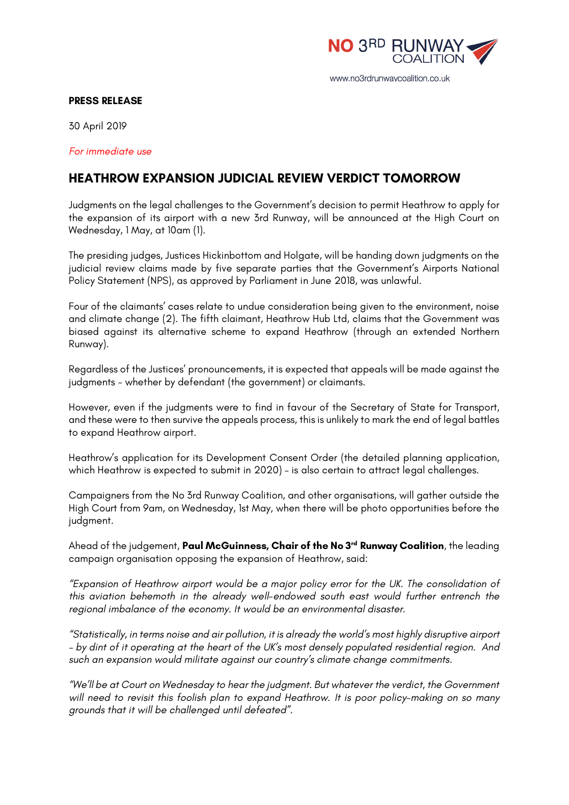

www.no3rdrunwaycoalition.co.uk

## **PRESS RELEASE**

30 April 2019

*For immediate use*

## **HEATHROW EXPANSION JUDICIAL REVIEW VERDICT TOMORROW**

Judgments on the legal challenges to the Government's decision to permit Heathrow to apply for the expansion of its airport with a new 3rd Runway, will be announced at the High Court on Wednesday, 1 May, at 10am (1).

The presiding judges, Justices Hickinbottom and Holgate, will be handing down judgments on the judicial review claims made by five separate parties that the Government's Airports National Policy Statement (NPS), as approved by Parliament in June 2018, was unlawful.

Four of the claimants' cases relate to undue consideration being given to the environment, noise and climate change (2). The fifth claimant, Heathrow Hub Ltd, claims that the Government was biased against its alternative scheme to expand Heathrow (through an extended Northern Runway).

Regardless of the Justices' pronouncements, it is expected that appeals will be made against the judgments - whether by defendant (the government) or claimants.

However, even if the judgments were to find in favour of the Secretary of State for Transport, and these were to then survive the appeals process, this is unlikely to mark the end of legal battles to expand Heathrow airport.

Heathrow's application for its Development Consent Order (the detailed planning application, which Heathrow is expected to submit in 2020) – is also certain to attract legal challenges.

Campaigners from the No 3rd Runway Coalition, and other organisations, will gather outside the High Court from 9am, on Wednesday, 1st May, when there will be photo opportunities before the judgment.

Ahead of the judgement, **Paul McGuinness, Chair of the No 3rd Runway Coalition**, the leading campaign organisation opposing the expansion of Heathrow, said:

*"Expansion of Heathrow airport would be a major policy error for the UK. The consolidation of this aviation behemoth in the already well-endowed south east would further entrench the regional imbalance of the economy. It would be an environmental disaster.* 

*"Statistically, in terms noise and air pollution, it is already the world's most highly disruptive airport – by dint of it operating at the heart of the UK's most densely populated residential region. And such an expansion would militate against our country's climate change commitments.*

*"We'll be at Court on Wednesday to hear the judgment. But whatever the verdict, the Government will need to revisit this foolish plan to expand Heathrow. It is poor policy-making on so many grounds that it will be challenged until defeated".*